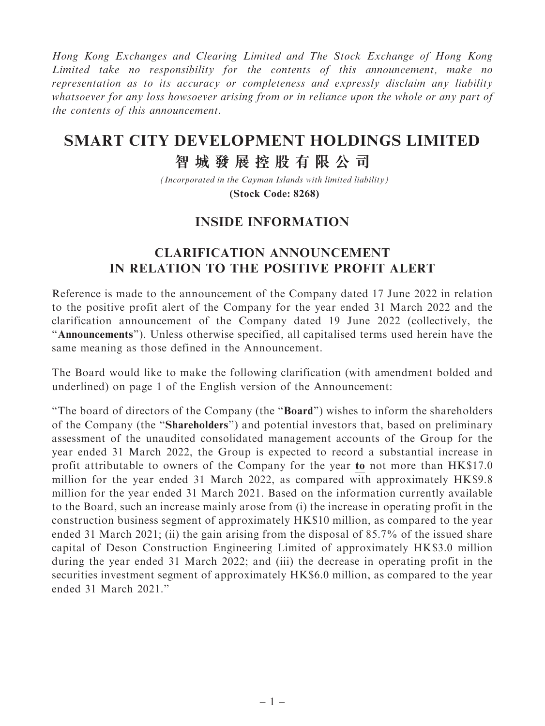Hong Kong Exchanges and Clearing Limited and The Stock Exchange of Hong Kong Limited take no responsibility for the contents of this announcement, make no representation as to its accuracy or completeness and expressly disclaim any liability whatsoever for any loss howsoever arising from or in reliance upon the whole or any part of the contents of this announcement.

## **SMART CITY DEVELOPMENT HOLDINGS LIMITED**

## **智城發展控股有限公司**

*(Incorporated in the Cayman Islands with limited liability)* **(Stock Code: 8268)**

## INSIDE INFORMATION

## CLARIFICATION ANNOUNCEMENT IN RELATION TO THE POSITIVE PROFIT ALERT

Reference is made to the announcement of the Company dated 17 June 2022 in relation to the positive profit alert of the Company for the year ended 31 March 2022 and the clarification announcement of the Company dated 19 June 2022 (collectively, the ''Announcements''). Unless otherwise specified, all capitalised terms used herein have the same meaning as those defined in the Announcement.

The Board would like to make the following clarification (with amendment bolded and underlined) on page 1 of the English version of the Announcement:

"The board of directors of the Company (the "Board") wishes to inform the shareholders of the Company (the ''Shareholders'') and potential investors that, based on preliminary assessment of the unaudited consolidated management accounts of the Group for the year ended 31 March 2022, the Group is expected to record a substantial increase in profit attributable to owners of the Company for the year to not more than HK\$17.0 million for the year ended 31 March 2022, as compared with approximately HK\$9.8 million for the year ended 31 March 2021. Based on the information currently available to the Board, such an increase mainly arose from (i) the increase in operating profit in the construction business segment of approximately HK\$10 million, as compared to the year ended 31 March 2021; (ii) the gain arising from the disposal of 85.7% of the issued share capital of Deson Construction Engineering Limited of approximately HK\$3.0 million during the year ended 31 March 2022; and (iii) the decrease in operating profit in the securities investment segment of approximately HK\$6.0 million, as compared to the year ended 31 March 2021.''